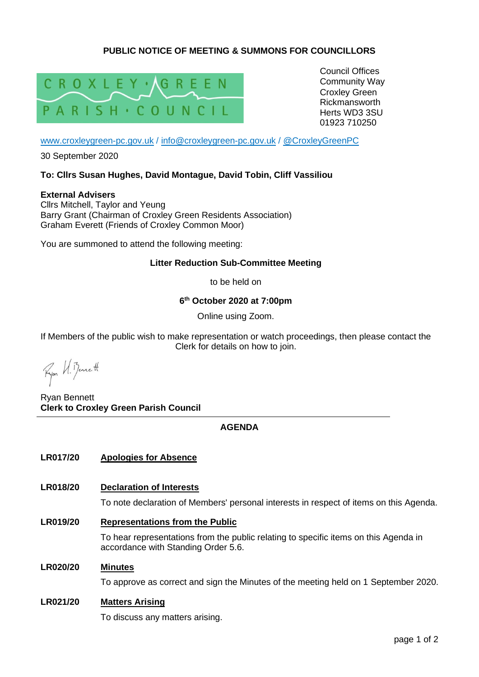# **PUBLIC NOTICE OF MEETING & SUMMONS FOR COUNCILLORS**



Council Offices Community Way Croxley Green Rickmansworth Herts WD3 3SU 01923 710250

[www.croxleygreen-pc.gov.uk](http://www.croxleygreen-pc.gov.uk/) / [info@croxleygreen-pc.gov.uk](mailto:info@croxleygreen-pc.gov.uk) / [@CroxleyGreenPC](https://twitter.com/CroxleyGreenPC)

30 September 2020

### **To: Cllrs Susan Hughes, David Montague, David Tobin, Cliff Vassiliou**

**External Advisers** Cllrs Mitchell, Taylor and Yeung Barry Grant (Chairman of Croxley Green Residents Association) Graham Everett (Friends of Croxley Common Moor)

You are summoned to attend the following meeting:

### **Litter Reduction Sub-Committee Meeting**

to be held on

**6 th October 2020 at 7:00pm**

Online using Zoom.

If Members of the public wish to make representation or watch proceedings, then please contact the Clerk for details on how to join.

Fyon U. Benett

Ryan Bennett **Clerk to Croxley Green Parish Council**

# **AGENDA**

### **LR017/20 Apologies for Absence**

### **LR018/20 Declaration of Interests**

To note declaration of Members' personal interests in respect of items on this Agenda.

**LR019/20 Representations from the Public**

To hear representations from the public relating to specific items on this Agenda in accordance with Standing Order 5.6.

#### **LR020/20 Minutes**

To approve as correct and sign the Minutes of the meeting held on 1 September 2020.

### **LR021/20 Matters Arising**

To discuss any matters arising.